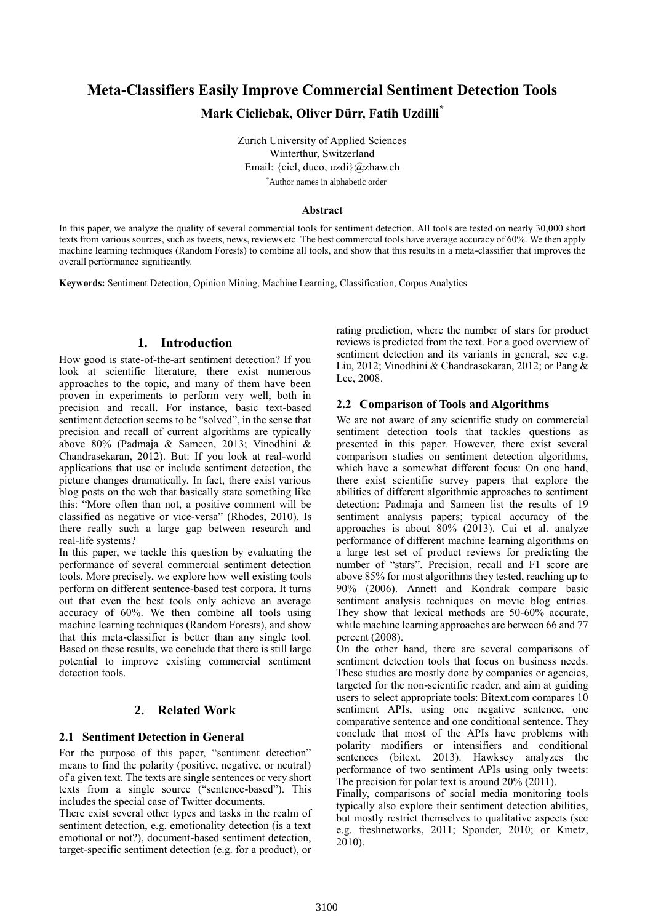# **Meta-Classifiers Easily Improve Commercial Sentiment Detection Tools Mark Cieliebak, Oliver Dürr, Fatih Uzdilli\***

Zurich University of Applied Sciences Winterthur, Switzerland Email: {ciel, dueo, uzdi}@zhaw.ch \*Author names in alphabetic order

## **Abstract**

In this paper, we analyze the quality of several commercial tools for sentiment detection. All tools are tested on nearly 30,000 short texts from various sources, such as tweets, news, reviews etc. The best commercial tools have average accuracy of 60%. We then apply machine learning techniques (Random Forests) to combine all tools, and show that this results in a meta-classifier that improves the overall performance significantly.

**Keywords:** Sentiment Detection, Opinion Mining, Machine Learning, Classification, Corpus Analytics

## **1. Introduction**

How good is state-of-the-art sentiment detection? If you look at scientific literature, there exist numerous approaches to the topic, and many of them have been proven in experiments to perform very well, both in precision and recall. For instance, basic text-based sentiment detection seems to be "solved", in the sense that precision and recall of current algorithms are typically above 80% (Padmaja & Sameen, 2013; Vinodhini & Chandrasekaran, 2012). But: If you look at real-world applications that use or include sentiment detection, the picture changes dramatically. In fact, there exist various blog posts on the web that basically state something like this: "More often than not, a positive comment will be classified as negative or vice-versa" (Rhodes, 2010). Is there really such a large gap between research and real-life systems?

In this paper, we tackle this question by evaluating the performance of several commercial sentiment detection tools. More precisely, we explore how well existing tools perform on different sentence-based test corpora. It turns out that even the best tools only achieve an average accuracy of 60%. We then combine all tools using machine learning techniques (Random Forests), and show that this meta-classifier is better than any single tool. Based on these results, we conclude that there is still large potential to improve existing commercial sentiment detection tools.

# **2. Related Work**

## **2.1 Sentiment Detection in General**

For the purpose of this paper, "sentiment detection" means to find the polarity (positive, negative, or neutral) of a given text. The texts are single sentences or very short texts from a single source ("sentence-based"). This includes the special case of Twitter documents.

There exist several other types and tasks in the realm of sentiment detection, e.g. emotionality detection (is a text emotional or not?), document-based sentiment detection, target-specific sentiment detection (e.g. for a product), or

rating prediction, where the number of stars for product reviews is predicted from the text. For a good overview of sentiment detection and its variants in general, see e.g. Liu, 2012; Vinodhini & Chandrasekaran, 2012; or Pang & Lee, 2008.

## **2.2 Comparison of Tools and Algorithms**

We are not aware of any scientific study on commercial sentiment detection tools that tackles questions as presented in this paper. However, there exist several comparison studies on sentiment detection algorithms, which have a somewhat different focus: On one hand, there exist scientific survey papers that explore the abilities of different algorithmic approaches to sentiment detection: Padmaja and Sameen list the results of 19 sentiment analysis papers; typical accuracy of the approaches is about 80% (2013). Cui et al. analyze performance of different machine learning algorithms on a large test set of product reviews for predicting the number of "stars". Precision, recall and F1 score are above 85% for most algorithms they tested, reaching up to 90% (2006). Annett and Kondrak compare basic sentiment analysis techniques on movie blog entries. They show that lexical methods are 50-60% accurate, while machine learning approaches are between 66 and 77 percent (2008).

On the other hand, there are several comparisons of sentiment detection tools that focus on business needs. These studies are mostly done by companies or agencies, targeted for the non-scientific reader, and aim at guiding users to select appropriate tools: Bitext.com compares 10 sentiment APIs, using one negative sentence, one comparative sentence and one conditional sentence. They conclude that most of the APIs have problems with polarity modifiers or intensifiers and conditional sentences (bitext, 2013). Hawksey analyzes the performance of two sentiment APIs using only tweets: The precision for polar text is around 20% (2011).

Finally, comparisons of social media monitoring tools typically also explore their sentiment detection abilities, but mostly restrict themselves to qualitative aspects (see e.g. freshnetworks, 2011; Sponder, 2010; or Kmetz, 2010).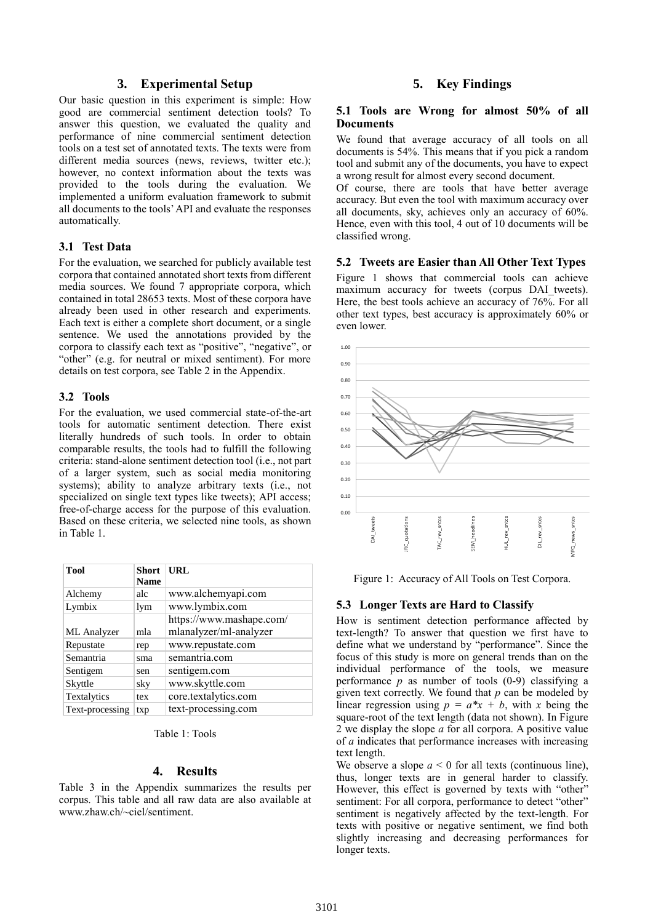## **3. Experimental Setup**

Our basic question in this experiment is simple: How good are commercial sentiment detection tools? To answer this question, we evaluated the quality and performance of nine commercial sentiment detection tools on a test set of annotated texts. The texts were from different media sources (news, reviews, twitter etc.); however, no context information about the texts was provided to the tools during the evaluation. We implemented a uniform evaluation framework to submit all documents to the tools' API and evaluate the responses automatically.

## **3.1 Test Data**

For the evaluation, we searched for publicly available test corpora that contained annotated short texts from different media sources. We found 7 appropriate corpora, which contained in total 28653 texts. Most of these corpora have already been used in other research and experiments. Each text is either a complete short document, or a single sentence. We used the annotations provided by the corpora to classify each text as "positive", "negative", or "other" (e.g. for neutral or mixed sentiment). For more details on test corpora, see Table 2 in the Appendix.

## **3.2 Tools**

For the evaluation, we used commercial state-of-the-art tools for automatic sentiment detection. There exist literally hundreds of such tools. In order to obtain comparable results, the tools had to fulfill the following criteria: stand-alone sentiment detection tool (i.e., not part of a larger system, such as social media monitoring systems); ability to analyze arbitrary texts (i.e., not specialized on single text types like tweets); API access; free-of-charge access for the purpose of this evaluation. Based on these criteria, we selected nine tools, as shown in Table 1.

| <b>Tool</b>     | <b>Short</b><br><b>Name</b> | <b>URL</b>                                         |
|-----------------|-----------------------------|----------------------------------------------------|
| Alchemy         | alc                         | www.alchemyapi.com                                 |
| Lymbix          | lym                         | www.lymbix.com                                     |
| ML Analyzer     | mla                         | https://www.mashape.com/<br>mlanalyzer/ml-analyzer |
| Repustate       | rep                         | www.repustate.com                                  |
| Semantria       | sma                         | semantria.com                                      |
| Sentigem        | sen                         | sentigem.com                                       |
| Skyttle         | sky                         | www.skyttle.com                                    |
| Textalytics     | tex                         | core.textalytics.com                               |
| Text-processing | txp                         | text-processing.com                                |

Table 1: Tools

#### **4. Results**

Table 3 in the Appendix summarizes the results per corpus. This table and all raw data are also available at [www.zhaw.ch/~ciel/sentiment.](http://www.zhaw.ch/~ciel/sentiment)

## **5. Key Findings**

## **5.1 Tools are Wrong for almost 50% of all Documents**

We found that average accuracy of all tools on all documents is 54%. This means that if you pick a random tool and submit any of the documents, you have to expect a wrong result for almost every second document.

Of course, there are tools that have better average accuracy. But even the tool with maximum accuracy over all documents, sky, achieves only an accuracy of 60%. Hence, even with this tool, 4 out of 10 documents will be classified wrong.

## **5.2 Tweets are Easier than All Other Text Types**

Figure 1 shows that commercial tools can achieve maximum accuracy for tweets (corpus DAI tweets). Here, the best tools achieve an accuracy of 76%. For all other text types, best accuracy is approximately 60% or even lower.



Figure 1: Accuracy of All Tools on Test Corpora.

#### **5.3 Longer Texts are Hard to Classify**

How is sentiment detection performance affected by text-length? To answer that question we first have to define what we understand by "performance". Since the focus of this study is more on general trends than on the individual performance of the tools, we measure performance  $p$  as number of tools  $(0-9)$  classifying a given text correctly. We found that *p* can be modeled by linear regression using  $p = a^*x + b$ , with x being the square-root of the text length (data not shown). In Figure 2 we display the slope *a* for all corpora. A positive value of *a* indicates that performance increases with increasing text length.

We observe a slope  $a \leq 0$  for all texts (continuous line), thus, longer texts are in general harder to classify. However, this effect is governed by texts with "other" sentiment: For all corpora, performance to detect "other" sentiment is negatively affected by the text-length. For texts with positive or negative sentiment, we find both slightly increasing and decreasing performances for longer texts.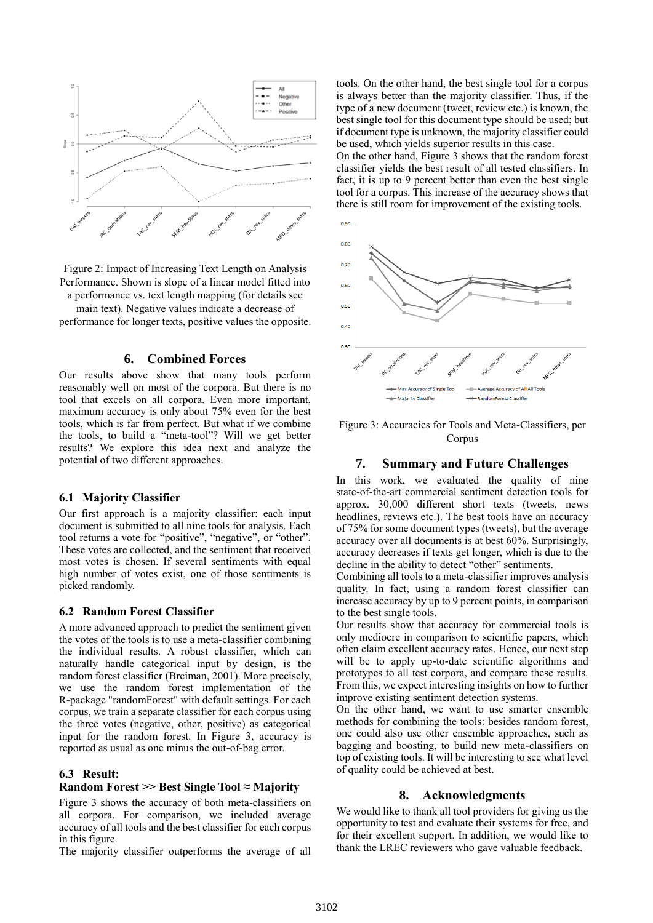

Figure 2: Impact of Increasing Text Length on Analysis Performance. Shown is slope of a linear model fitted into a performance vs. text length mapping (for details see

main text). Negative values indicate a decrease of performance for longer texts, positive values the opposite.

#### **6. Combined Forces**

Our results above show that many tools perform reasonably well on most of the corpora. But there is no tool that excels on all corpora. Even more important, maximum accuracy is only about 75% even for the best tools, which is far from perfect. But what if we combine the tools, to build a "meta-tool"? Will we get better results? We explore this idea next and analyze the potential of two different approaches.

#### **6.1 Majority Classifier**

Our first approach is a majority classifier: each input document is submitted to all nine tools for analysis. Each tool returns a vote for "positive", "negative", or "other". These votes are collected, and the sentiment that received most votes is chosen. If several sentiments with equal high number of votes exist, one of those sentiments is picked randomly.

#### **6.2 Random Forest Classifier**

A more advanced approach to predict the sentiment given the votes of the tools is to use a meta-classifier combining the individual results. A robust classifier, which can naturally handle categorical input by design, is the random forest classifier (Breiman, 2001). More precisely, we use the random forest implementation of the R-package "randomForest" with default settings. For each corpus, we train a separate classifier for each corpus using the three votes (negative, other, positive) as categorical input for the random forest. In Figure 3, accuracy is reported as usual as one minus the out-of-bag error.

## **6.3 Result:**

#### **Random Forest >> Best Single Tool ≈ Majority**

Figure 3 shows the accuracy of both meta-classifiers on all corpora. For comparison, we included average accuracy of all tools and the best classifier for each corpus in this figure.

The majority classifier outperforms the average of all

tools. On the other hand, the best single tool for a corpus is always better than the majority classifier. Thus, if the type of a new document (tweet, review etc.) is known, the best single tool for this document type should be used; but if document type is unknown, the majority classifier could be used, which yields superior results in this case.

On the other hand, Figure 3 shows that the random forest classifier yields the best result of all tested classifiers. In fact, it is up to 9 percent better than even the best single tool for a corpus. This increase of the accuracy shows that there is still room for improvement of the existing tools.



Figure 3: Accuracies for Tools and Meta-Classifiers, per Corpus

#### **7. Summary and Future Challenges**

In this work, we evaluated the quality of nine state-of-the-art commercial sentiment detection tools for approx. 30,000 different short texts (tweets, news headlines, reviews etc.). The best tools have an accuracy of 75% for some document types (tweets), but the average accuracy over all documents is at best 60%. Surprisingly, accuracy decreases if texts get longer, which is due to the decline in the ability to detect "other" sentiments.

Combining all tools to a meta-classifier improves analysis quality. In fact, using a random forest classifier can increase accuracy by up to 9 percent points, in comparison to the best single tools.

Our results show that accuracy for commercial tools is only mediocre in comparison to scientific papers, which often claim excellent accuracy rates. Hence, our next step will be to apply up-to-date scientific algorithms and prototypes to all test corpora, and compare these results. From this, we expect interesting insights on how to further improve existing sentiment detection systems.

On the other hand, we want to use smarter ensemble methods for combining the tools: besides random forest, one could also use other ensemble approaches, such as bagging and boosting, to build new meta-classifiers on top of existing tools. It will be interesting to see what level of quality could be achieved at best.

## **8. Acknowledgments**

We would like to thank all tool providers for giving us the opportunity to test and evaluate their systems for free, and for their excellent support. In addition, we would like to thank the LREC reviewers who gave valuable feedback.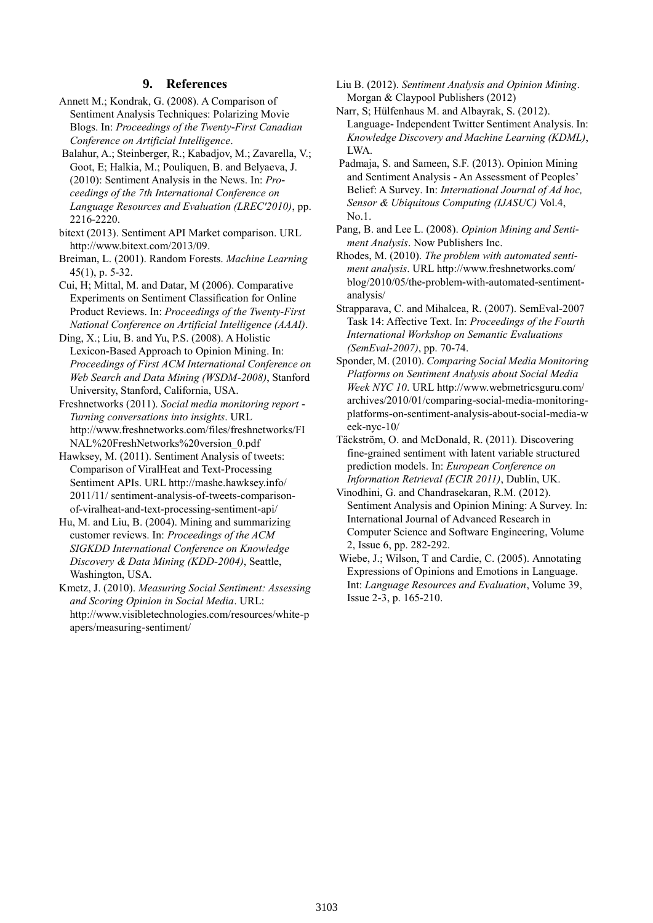## **9. References**

- Annett M.; Kondrak, G. (2008). A Comparison of Sentiment Analysis Techniques: Polarizing Movie Blogs. In: *Proceedings of the Twenty-First Canadian Conference on Artificial Intelligence*.
- Balahur, A.; Steinberger, R.; Kabadjov, M.; Zavarella, V.; Goot, E; Halkia, M.; Pouliquen, B. and Belyaeva, J. (2010): Sentiment Analysis in the News. In: *Proceedings of the 7th International Conference on Language Resources and Evaluation (LREC'2010)*, pp. 2216-2220.
- bitext (2013). Sentiment API Market comparison. URL http://www.bitext.com/2013/09.
- Breiman, L. (2001). Random Forests. *Machine Learning* 45(1), p. 5-32.
- Cui, H; Mittal, M. and Datar, M (2006). Comparative Experiments on Sentiment Classification for Online Product Reviews. In: *Proceedings of the Twenty-First National Conference on Artificial Intelligence (AAAI)*.
- Ding, X.; Liu, B. and Yu, P.S. (2008). A Holistic Lexicon-Based Approach to Opinion Mining. In: *Proceedings of First ACM International Conference on Web Search and Data Mining (WSDM-2008)*, Stanford University, Stanford, California, USA.
- Freshnetworks (2011). *Social media monitoring report - Turning conversations into insights*. URL http://www.freshnetworks.com/files/freshnetworks/FI NAL%20FreshNetworks%20version\_0.pdf
- Hawksey, M. (2011). Sentiment Analysis of tweets: Comparison of ViralHeat and Text-Processing Sentiment APIs. URL http://mashe.hawksey.info/ 2011/11/ sentiment-analysis-of-tweets-comparisonof-viralheat-and-text-processing-sentiment-api/
- Hu, M. and Liu, B. (2004). Mining and summarizing customer reviews. In: *Proceedings of the ACM SIGKDD International Conference on Knowledge Discovery & Data Mining (KDD-2004)*, Seattle, Washington, USA.
- Kmetz, J. (2010). *Measuring Social Sentiment: Assessing and Scoring Opinion in Social Media*. URL: http://www.visibletechnologies.com/resources/white-p apers/measuring-sentiment/
- Liu B. (2012). *Sentiment Analysis and Opinion Mining*. Morgan & Claypool Publishers (2012)
- Narr, S; Hülfenhaus M. and Albayrak, S. (2012). Language- Independent Twitter Sentiment Analysis. In: *Knowledge Discovery and Machine Learning (KDML)*, LWA.
- Padmaja, S. and Sameen, S.F. (2013). Opinion Mining and Sentiment Analysis - An Assessment of Peoples' Belief: A Survey. In: *International Journal of Ad hoc, Sensor & Ubiquitous Computing (IJASUC)* Vol.4,  $N<sub>0</sub>1$
- Pang, B. and Lee L. (2008). *Opinion Mining and Sentiment Analysis*. Now Publishers Inc.
- Rhodes, M. (2010). *The problem with automated sentiment analysis*. URL http://www.freshnetworks.com/ blog/2010/05/the-problem-with-automated-sentimentanalysis/
- Strapparava, C. and Mihalcea, R. (2007). SemEval-2007 Task 14: Affective Text. In: *Proceedings of the Fourth International Workshop on Semantic Evaluations (SemEval-2007)*, pp. 70-74.
- Sponder, M. (2010). *Comparing Social Media Monitoring Platforms on Sentiment Analysis about Social Media Week NYC 10*. URL http://www.webmetricsguru.com/ archives/2010/01/comparing-social-media-monitoringplatforms-on-sentiment-analysis-about-social-media-w eek-nyc-10/
- Täckström, O. and McDonald, R. (2011). Discovering fine-grained sentiment with latent variable structured prediction models. In: *European Conference on Information Retrieval (ECIR 2011)*, Dublin, UK.
- Vinodhini, G. and Chandrasekaran, R.M. (2012). Sentiment Analysis and Opinion Mining: A Survey. In: International Journal of Advanced Research in Computer Science and Software Engineering, Volume 2, Issue 6, pp. 282-292.
- Wiebe, J.; Wilson, T and Cardie, C. (2005). Annotating Expressions of Opinions and Emotions in Language. Int: *Language Resources and Evaluation*, Volume 39, Issue 2-3, p. 165-210.